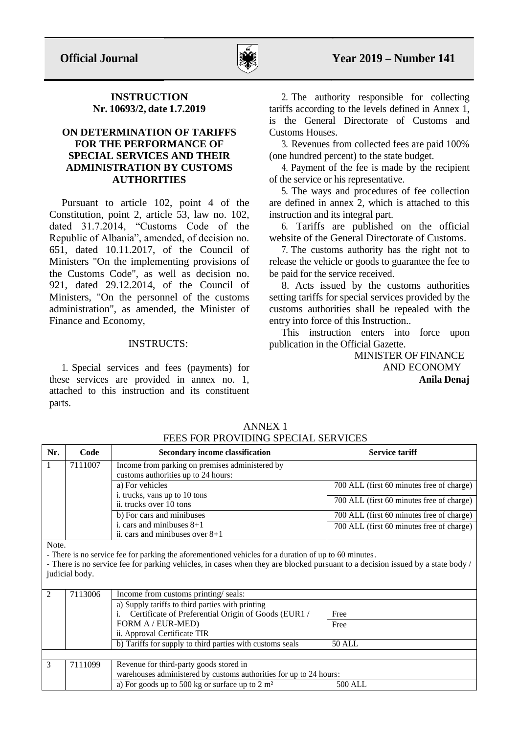

## **INSTRUCTION Nr. 10693/2, date 1.7.2019**

## **ON DETERMINATION OF TARIFFS FOR THE PERFORMANCE OF SPECIAL SERVICES AND THEIR ADMINISTRATION BY CUSTOMS AUTHORITIES**

Pursuant to article 102, point 4 of the Constitution, point 2, article 53, law no. 102, dated 31.7.2014, "Customs Code of the Republic of Albania", amended, of decision no. 651, dated 10.11.2017, of the Council of Ministers "On the implementing provisions of the Customs Code", as well as decision no. 921, dated 29.12.2014, of the Council of Ministers, "On the personnel of the customs administration", as amended, the Minister of Finance and Economy,

# INSTRUCTS:

1. Special services and fees (payments) for these services are provided in annex no. 1, attached to this instruction and its constituent parts.

2. The authority responsible for collecting tariffs according to the levels defined in Annex 1, is the General Directorate of Customs and Customs Houses.

3. Revenues from collected fees are paid 100% (one hundred percent) to the state budget.

4. Payment of the fee is made by the recipient of the service or his representative.

5. The ways and procedures of fee collection are defined in annex 2, which is attached to this instruction and its integral part.

6. Tariffs are published on the official website of the General Directorate of Customs.

7. The customs authority has the right not to release the vehicle or goods to guarantee the fee to be paid for the service received.

8. Acts issued by the customs authorities setting tariffs for special services provided by the customs authorities shall be repealed with the entry into force of this Instruction..

This instruction enters into force upon publication in the Official Gazette.

> MINISTER OF FINANCE AND ECONOMY **Anila Denaj**

| Nr.      | Code    | <b>Secondary income classification</b>                                                 | <b>Service tariff</b>                     |
|----------|---------|----------------------------------------------------------------------------------------|-------------------------------------------|
|          | 7111007 | Income from parking on premises administered by<br>customs authorities up to 24 hours: |                                           |
|          |         | a) For vehicles<br>i. trucks, vans up to 10 tons                                       | 700 ALL (first 60 minutes free of charge) |
|          |         | ii. trucks over 10 tons                                                                | 700 ALL (first 60 minutes free of charge) |
|          |         | b) For cars and minibuses                                                              | 700 ALL (first 60 minutes free of charge) |
|          |         | i. cars and minibuses $8+1$<br>ii. cars and minibuses over $8+1$                       | 700 ALL (first 60 minutes free of charge) |
| $NT - 1$ |         |                                                                                        |                                           |

ANNEX 1 FEES FOR PROVIDING SPECIAL SERVICES

Note.

- There is no service fee for parking the aforementioned vehicles for a duration of up to 60 minutes.

- There is no service fee for parking vehicles, in cases when they are blocked pursuant to a decision issued by a state body / judicial body.

| $\mathcal{L}$ | 7113006 | Income from customs printing/seals:                                |         |  |
|---------------|---------|--------------------------------------------------------------------|---------|--|
|               |         | a) Supply tariffs to third parties with printing                   |         |  |
|               |         | Certificate of Preferential Origin of Goods (EUR1 /                | Free    |  |
|               |         | FORM A / EUR-MED)                                                  | Free    |  |
|               |         | ii. Approval Certificate TIR                                       |         |  |
|               |         | b) Tariffs for supply to third parties with customs seals          | 50 ALL  |  |
|               |         |                                                                    |         |  |
|               | 7111099 | Revenue for third-party goods stored in                            |         |  |
|               |         | warehouses administered by customs authorities for up to 24 hours: |         |  |
|               |         | a) For goods up to 500 kg or surface up to 2 $m2$                  | 500 ALL |  |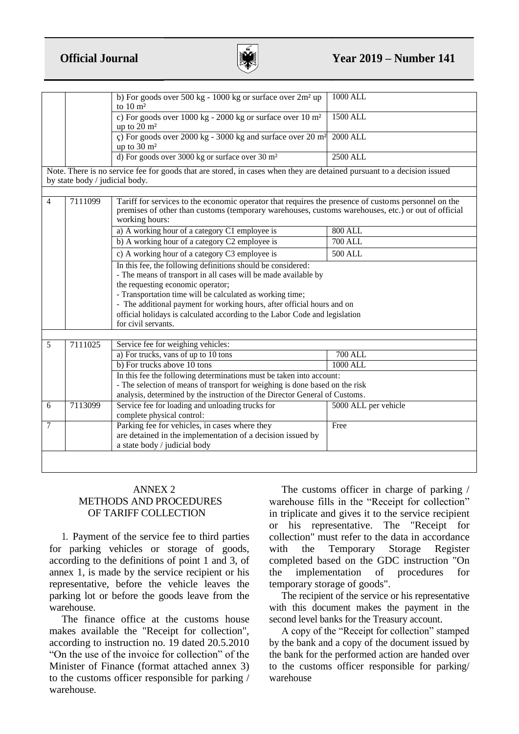

|                                                                                                                                                                                                                                                                                                                                                                                                                    |                                | b) For goods over 500 kg - 1000 kg or surface over 2m <sup>2</sup> up<br>to $10 \text{ m}^2$                                                                                                                                        | <b>1000 ALL</b>      |  |
|--------------------------------------------------------------------------------------------------------------------------------------------------------------------------------------------------------------------------------------------------------------------------------------------------------------------------------------------------------------------------------------------------------------------|--------------------------------|-------------------------------------------------------------------------------------------------------------------------------------------------------------------------------------------------------------------------------------|----------------------|--|
|                                                                                                                                                                                                                                                                                                                                                                                                                    |                                | c) For goods over $1000 \text{ kg}$ - $2000 \text{ kg}$ or surface over $10 \text{ m}^2$<br>up to $20 \text{ m}^2$                                                                                                                  | <b>1500 ALL</b>      |  |
|                                                                                                                                                                                                                                                                                                                                                                                                                    |                                | c) For goods over 2000 kg - 3000 kg and surface over 20 $m2$<br>up to $30 \text{ m}^2$                                                                                                                                              | <b>2000 ALL</b>      |  |
|                                                                                                                                                                                                                                                                                                                                                                                                                    |                                | d) For goods over 3000 kg or surface over 30 m <sup>2</sup>                                                                                                                                                                         | <b>2500 ALL</b>      |  |
|                                                                                                                                                                                                                                                                                                                                                                                                                    | by state body / judicial body. | Note. There is no service fee for goods that are stored, in cases when they are detained pursuant to a decision issued                                                                                                              |                      |  |
|                                                                                                                                                                                                                                                                                                                                                                                                                    |                                |                                                                                                                                                                                                                                     |                      |  |
| $\overline{4}$                                                                                                                                                                                                                                                                                                                                                                                                     | 7111099                        | Tariff for services to the economic operator that requires the presence of customs personnel on the<br>premises of other than customs (temporary warehouses, customs warehouses, etc.) or out of official<br>working hours:         |                      |  |
|                                                                                                                                                                                                                                                                                                                                                                                                                    |                                | a) A working hour of a category C1 employee is                                                                                                                                                                                      | <b>800 ALL</b>       |  |
|                                                                                                                                                                                                                                                                                                                                                                                                                    |                                | b) A working hour of a category C2 employee is                                                                                                                                                                                      | <b>700 ALL</b>       |  |
|                                                                                                                                                                                                                                                                                                                                                                                                                    |                                | c) A working hour of a category C3 employee is                                                                                                                                                                                      | <b>500 ALL</b>       |  |
| In this fee, the following definitions should be considered:<br>- The means of transport in all cases will be made available by<br>the requesting economic operator;<br>- Transportation time will be calculated as working time;<br>- The additional payment for working hours, after official hours and on<br>official holidays is calculated according to the Labor Code and legislation<br>for civil servants. |                                |                                                                                                                                                                                                                                     |                      |  |
|                                                                                                                                                                                                                                                                                                                                                                                                                    | 7111025                        |                                                                                                                                                                                                                                     |                      |  |
| 5                                                                                                                                                                                                                                                                                                                                                                                                                  |                                | Service fee for weighing vehicles:<br>a) For trucks, vans of up to 10 tons                                                                                                                                                          | <b>700 ALL</b>       |  |
|                                                                                                                                                                                                                                                                                                                                                                                                                    |                                | b) For trucks above 10 tons                                                                                                                                                                                                         | 1000 ALL             |  |
|                                                                                                                                                                                                                                                                                                                                                                                                                    |                                | In this fee the following determinations must be taken into account:<br>- The selection of means of transport for weighing is done based on the risk<br>analysis, determined by the instruction of the Director General of Customs. |                      |  |
| 6                                                                                                                                                                                                                                                                                                                                                                                                                  | 7113099                        | Service fee for loading and unloading trucks for<br>complete physical control:                                                                                                                                                      | 5000 ALL per vehicle |  |
| 7                                                                                                                                                                                                                                                                                                                                                                                                                  |                                | Parking fee for vehicles, in cases where they<br>are detained in the implementation of a decision issued by<br>a state body / judicial body                                                                                         | Free                 |  |
|                                                                                                                                                                                                                                                                                                                                                                                                                    |                                |                                                                                                                                                                                                                                     |                      |  |

## ANNEX 2 METHODS AND PROCEDURES OF TARIFF COLLECTION

1. Payment of the service fee to third parties for parking vehicles or storage of goods, according to the definitions of point 1 and 3, of annex 1, is made by the service recipient or his representative, before the vehicle leaves the parking lot or before the goods leave from the warehouse.

The finance office at the customs house makes available the "Receipt for collection", according to instruction no. 19 dated 20.5.2010 "On the use of the invoice for collection" of the Minister of Finance (format attached annex 3) to the customs officer responsible for parking / warehouse.

The customs officer in charge of parking / warehouse fills in the "Receipt for collection" in triplicate and gives it to the service recipient or his representative. The "Receipt for collection" must refer to the data in accordance with the Temporary Storage Register completed based on the GDC instruction "On the implementation of procedures for temporary storage of goods".

The recipient of the service or his representative with this document makes the payment in the second level banks for the Treasury account.

A copy of the "Receipt for collection" stamped by the bank and a copy of the document issued by the bank for the performed action are handed over to the customs officer responsible for parking/ warehouse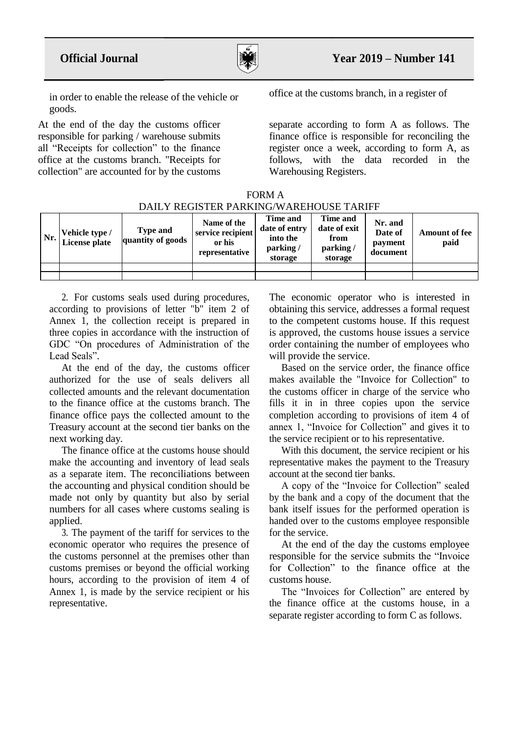

in order to enable the release of the vehicle or goods.

At the end of the day the customs officer responsible for parking / warehouse submits all "Receipts for collection" to the finance office at the customs branch. "Receipts for collection" are accounted for by the customs

office at the customs branch, in a register of

separate according to form A as follows. The finance office is responsible for reconciling the register once a week, according to form A, as follows, with the data recorded in the Warehousing Registers.

| FORM A                                  |
|-----------------------------------------|
| DAILY REGISTER PARKING/WAREHOUSE TARIFF |

| Nr. | Vehicle type /<br>License plate | <b>Type and</b><br>quantity of goods | Name of the<br>service recipient<br>or his<br>representative | Time and<br>date of entry<br>into the<br>parking/<br>storage | Time and<br>date of exit<br>from<br>parking/<br>storage | Nr. and<br>Date of<br>payment<br>document | <b>Amount of fee</b><br>paid |
|-----|---------------------------------|--------------------------------------|--------------------------------------------------------------|--------------------------------------------------------------|---------------------------------------------------------|-------------------------------------------|------------------------------|
|     |                                 |                                      |                                                              |                                                              |                                                         |                                           |                              |
|     |                                 |                                      |                                                              |                                                              |                                                         |                                           |                              |

2. For customs seals used during procedures, according to provisions of letter "b" item 2 of Annex 1, the collection receipt is prepared in three copies in accordance with the instruction of GDC "On procedures of Administration of the Lead Seals".

At the end of the day, the customs officer authorized for the use of seals delivers all collected amounts and the relevant documentation to the finance office at the customs branch. The finance office pays the collected amount to the Treasury account at the second tier banks on the next working day.

The finance office at the customs house should make the accounting and inventory of lead seals as a separate item. The reconciliations between the accounting and physical condition should be made not only by quantity but also by serial numbers for all cases where customs sealing is applied.

3. The payment of the tariff for services to the economic operator who requires the presence of the customs personnel at the premises other than customs premises or beyond the official working hours, according to the provision of item 4 of Annex 1, is made by the service recipient or his representative.

The economic operator who is interested in obtaining this service, addresses a formal request to the competent customs house. If this request is approved, the customs house issues a service order containing the number of employees who will provide the service.

Based on the service order, the finance office makes available the "Invoice for Collection" to the customs officer in charge of the service who fills it in in three copies upon the service completion according to provisions of item 4 of annex 1, "Invoice for Collection" and gives it to the service recipient or to his representative.

With this document, the service recipient or his representative makes the payment to the Treasury account at the second tier banks.

A copy of the "Invoice for Collection" sealed by the bank and a copy of the document that the bank itself issues for the performed operation is handed over to the customs employee responsible for the service.

At the end of the day the customs employee responsible for the service submits the "Invoice for Collection" to the finance office at the customs house.

The "Invoices for Collection" are entered by the finance office at the customs house, in a separate register according to form C as follows.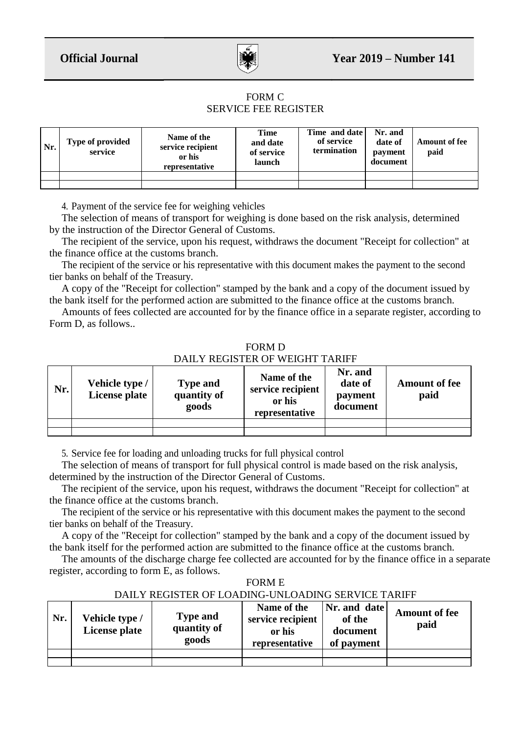

## FORM C SERVICE FEE REGISTER

| Nr. | <b>Type of provided</b><br>service | Name of the<br>service recipient<br>or his<br>representative | <b>Time</b><br>and date<br>of service<br>launch | Time and date<br>of service<br>termination | Nr. and<br>date of<br>payment<br>document | <b>Amount of fee</b><br>paid |
|-----|------------------------------------|--------------------------------------------------------------|-------------------------------------------------|--------------------------------------------|-------------------------------------------|------------------------------|
|     |                                    |                                                              |                                                 |                                            |                                           |                              |
|     |                                    |                                                              |                                                 |                                            |                                           |                              |

4. Payment of the service fee for weighing vehicles

The selection of means of transport for weighing is done based on the risk analysis, determined by the instruction of the Director General of Customs.

The recipient of the service, upon his request, withdraws the document "Receipt for collection" at the finance office at the customs branch.

The recipient of the service or his representative with this document makes the payment to the second tier banks on behalf of the Treasury.

A copy of the "Receipt for collection" stamped by the bank and a copy of the document issued by the bank itself for the performed action are submitted to the finance office at the customs branch.

Amounts of fees collected are accounted for by the finance office in a separate register, according to Form D, as follows..

FORM D DAILY REGISTER OF WEIGHT TARIFF

| Nr. | Vehicle type /<br>License plate | <b>Type and</b><br>quantity of<br>goods | Name of the<br>service recipient<br>or his<br>representative | Nr. and<br>date of<br>payment<br>document | <b>Amount of fee</b><br>paid |
|-----|---------------------------------|-----------------------------------------|--------------------------------------------------------------|-------------------------------------------|------------------------------|
|     |                                 |                                         |                                                              |                                           |                              |
|     |                                 |                                         |                                                              |                                           |                              |

5. Service fee for loading and unloading trucks for full physical control

The selection of means of transport for full physical control is made based on the risk analysis, determined by the instruction of the Director General of Customs.

The recipient of the service, upon his request, withdraws the document "Receipt for collection" at the finance office at the customs branch.

The recipient of the service or his representative with this document makes the payment to the second tier banks on behalf of the Treasury.

A copy of the "Receipt for collection" stamped by the bank and a copy of the document issued by the bank itself for the performed action are submitted to the finance office at the customs branch.

The amounts of the discharge charge fee collected are accounted for by the finance office in a separate register, according to form E, as follows.

FORM E

DAILY REGISTER OF LOADING-UNLOADING SERVICE TARIFF

| Nr. | Vehicle type /<br><b>License plate</b> | <b>Type and</b><br>quantity of<br>goods | Name of the<br>service recipient<br>or his<br>representative | Nr. and date<br>of the<br>document<br>of payment | <b>Amount of fee</b><br>paid |
|-----|----------------------------------------|-----------------------------------------|--------------------------------------------------------------|--------------------------------------------------|------------------------------|
|     |                                        |                                         |                                                              |                                                  |                              |
|     |                                        |                                         |                                                              |                                                  |                              |